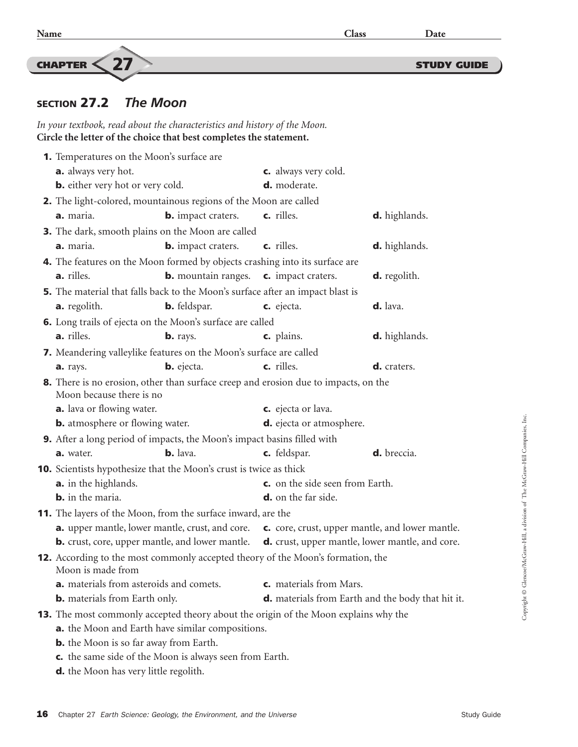CHAPTER  $\langle 27 \rangle$  study guide

## SECTION 27.2 *The Moon*

*In your textbook, read about the characteristics and history of the Moon.* **Circle the letter of the choice that best completes the statement.**

|  | <b>1.</b> Temperatures on the Moon's surface are                                                                 |                                                                  |                                                                                |                                                 |  |
|--|------------------------------------------------------------------------------------------------------------------|------------------------------------------------------------------|--------------------------------------------------------------------------------|-------------------------------------------------|--|
|  | <b>a.</b> always very hot.                                                                                       |                                                                  | c. always very cold.                                                           |                                                 |  |
|  | <b>b.</b> either very hot or very cold.                                                                          |                                                                  | d. moderate.                                                                   |                                                 |  |
|  |                                                                                                                  | 2. The light-colored, mountainous regions of the Moon are called |                                                                                |                                                 |  |
|  | a. maria.                                                                                                        | <b>b.</b> impact craters.                                        | c. rilles.                                                                     | <b>d.</b> highlands.                            |  |
|  |                                                                                                                  | <b>3.</b> The dark, smooth plains on the Moon are called         |                                                                                |                                                 |  |
|  | a. maria.                                                                                                        | <b>b.</b> impact craters.                                        | c. rilles.                                                                     | <b>d.</b> highlands.                            |  |
|  | 4. The features on the Moon formed by objects crashing into its surface are                                      |                                                                  |                                                                                |                                                 |  |
|  | <b>a.</b> rilles.                                                                                                | <b>b.</b> mountain ranges.                                       | c. impact craters.                                                             | <b>d.</b> regolith.                             |  |
|  |                                                                                                                  |                                                                  | 5. The material that falls back to the Moon's surface after an impact blast is |                                                 |  |
|  | <b>a.</b> regolith.                                                                                              | <b>b.</b> feldspar.                                              | c. ejecta.                                                                     | d. lava.                                        |  |
|  | <b>6.</b> Long trails of ejecta on the Moon's surface are called                                                 |                                                                  |                                                                                |                                                 |  |
|  | a. rilles.                                                                                                       | <b>b.</b> rays.                                                  | c. plains.                                                                     | <b>d.</b> highlands.                            |  |
|  | 7. Meandering valleylike features on the Moon's surface are called                                               |                                                                  |                                                                                |                                                 |  |
|  | a. rays.                                                                                                         | <b>b.</b> ejecta.                                                | c. rilles.                                                                     | d. craters.                                     |  |
|  | 8. There is no erosion, other than surface creep and erosion due to impacts, on the<br>Moon because there is no  |                                                                  |                                                                                |                                                 |  |
|  | a. lava or flowing water.                                                                                        |                                                                  | c. ejecta or lava.                                                             |                                                 |  |
|  | <b>b.</b> atmosphere or flowing water.                                                                           |                                                                  | <b>d.</b> ejecta or atmosphere.                                                |                                                 |  |
|  | <b>9.</b> After a long period of impacts, the Moon's impact basins filled with                                   |                                                                  |                                                                                |                                                 |  |
|  | a. water.                                                                                                        | <b>b.</b> lava.                                                  | c. feldspar.                                                                   | d. breccia.                                     |  |
|  | <b>10.</b> Scientists hypothesize that the Moon's crust is twice as thick                                        |                                                                  |                                                                                |                                                 |  |
|  | <b>a.</b> in the highlands.                                                                                      |                                                                  | c. on the side seen from Earth.                                                |                                                 |  |
|  | <b>b.</b> in the maria.                                                                                          |                                                                  | <b>d.</b> on the far side.                                                     |                                                 |  |
|  | <b>11.</b> The layers of the Moon, from the surface inward, are the                                              |                                                                  |                                                                                |                                                 |  |
|  | <b>a.</b> upper mantle, lower mantle, crust, and core.                                                           |                                                                  |                                                                                | c. core, crust, upper mantle, and lower mantle. |  |
|  | <b>b.</b> crust, core, upper mantle, and lower mantle.<br><b>d.</b> crust, upper mantle, lower mantle, and core. |                                                                  |                                                                                |                                                 |  |
|  | 12. According to the most commonly accepted theory of the Moon's formation, the<br>Moon is made from             |                                                                  |                                                                                |                                                 |  |
|  | <b>a.</b> materials from asteroids and comets.                                                                   |                                                                  | c. materials from Mars.                                                        |                                                 |  |
|  | d. materials from Earth and the body that hit it.<br><b>b.</b> materials from Earth only.                        |                                                                  |                                                                                |                                                 |  |
|  | 13. The most commonly accepted theory about the origin of the Moon explains why the                              |                                                                  |                                                                                |                                                 |  |
|  | a. the Moon and Earth have similar compositions.                                                                 |                                                                  |                                                                                |                                                 |  |
|  | <b>b.</b> the Moon is so far away from Earth.                                                                    |                                                                  |                                                                                |                                                 |  |
|  | c. the same side of the Moon is always seen from Earth.                                                          |                                                                  |                                                                                |                                                 |  |
|  | <b>d.</b> the Moon has very little regolith.                                                                     |                                                                  |                                                                                |                                                 |  |